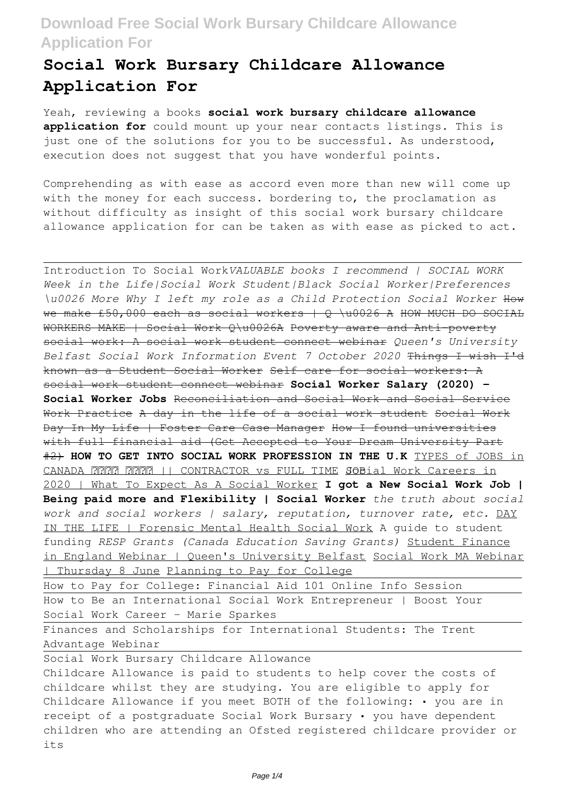## **Social Work Bursary Childcare Allowance Application For**

Yeah, reviewing a books **social work bursary childcare allowance application for** could mount up your near contacts listings. This is just one of the solutions for you to be successful. As understood, execution does not suggest that you have wonderful points.

Comprehending as with ease as accord even more than new will come up with the money for each success. bordering to, the proclamation as without difficulty as insight of this social work bursary childcare allowance application for can be taken as with ease as picked to act.

Introduction To Social Work*VALUABLE books I recommend | SOCIAL WORK Week in the Life|Social Work Student|Black Social Worker|Preferences \u0026 More Why I left my role as a Child Protection Social Worker* How we make £50,000 each as social workers  $+$  Q \u0026 A HOW MUCH DO SOCIAL WORKERS MAKE | Social Work Q\u0026A Poverty aware and Anti-poverty social work: A social work student connect webinar *Queen's University Belfast Social Work Information Event 7 October 2020* Things I wish I'd known as a Student Social Worker Self care for social workers: A social work student connect webinar **Social Worker Salary (2020) - Social Worker Jobs** Reconciliation and Social Work and Social Service Work Practice A day in the life of a social work student Social Work Day In My Life | Foster Care Case Manager How I found universities with full financial aid (Get Accepted to Your Dream University Part #2) **HOW TO GET INTO SOCIAL WORK PROFESSION IN THE U.K** TYPES of JOBS in CANADA || CONTRACTOR vs FULL TIME JOB Social Work Careers in 2020 | What To Expect As A Social Worker **I got a New Social Work Job | Being paid more and Flexibility | Social Worker** *the truth about social work and social workers | salary, reputation, turnover rate, etc.* DAY IN THE LIFE | Forensic Mental Health Social Work A guide to student funding *RESP Grants (Canada Education Saving Grants)* Student Finance in England Webinar | Queen's University Belfast Social Work MA Webinar | Thursday 8 June Planning to Pay for College How to Pay for College: Financial Aid 101 Online Info Session How to Be an International Social Work Entrepreneur | Boost Your Social Work Career - Marie Sparkes

Finances and Scholarships for International Students: The Trent Advantage Webinar

Social Work Bursary Childcare Allowance Childcare Allowance is paid to students to help cover the costs of childcare whilst they are studying. You are eligible to apply for Childcare Allowance if you meet BOTH of the following: • you are in receipt of a postgraduate Social Work Bursary • you have dependent children who are attending an Ofsted registered childcare provider or its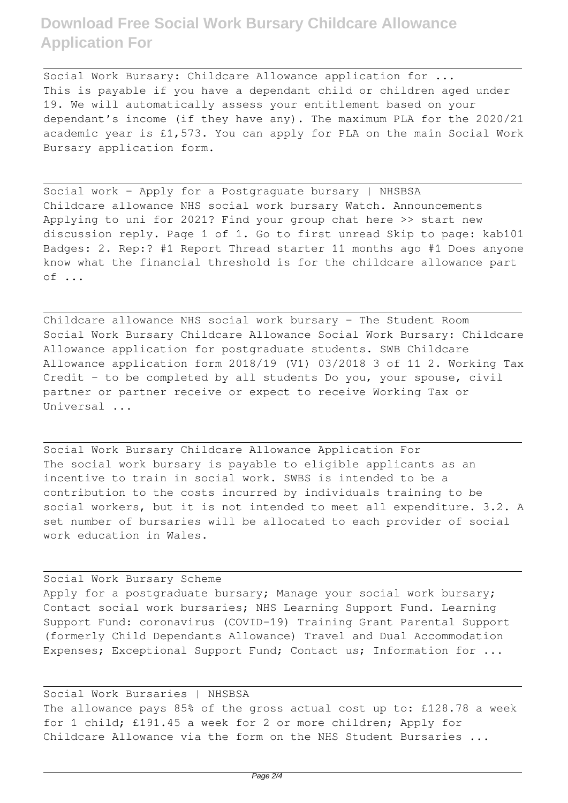Social Work Bursary: Childcare Allowance application for ... This is payable if you have a dependant child or children aged under 19. We will automatically assess your entitlement based on your dependant's income (if they have any). The maximum PLA for the 2020/21 academic year is £1,573. You can apply for PLA on the main Social Work Bursary application form.

Social work - Apply for a Postgraguate bursary | NHSBSA Childcare allowance NHS social work bursary Watch. Announcements Applying to uni for 2021? Find your group chat here >> start new discussion reply. Page 1 of 1. Go to first unread Skip to page: kab101 Badges: 2. Rep:? #1 Report Thread starter 11 months ago #1 Does anyone know what the financial threshold is for the childcare allowance part of ...

Childcare allowance NHS social work bursary - The Student Room Social Work Bursary Childcare Allowance Social Work Bursary: Childcare Allowance application for postgraduate students. SWB Childcare Allowance application form 2018/19 (V1) 03/2018 3 of 11 2. Working Tax Credit - to be completed by all students Do you, your spouse, civil partner or partner receive or expect to receive Working Tax or Universal ...

Social Work Bursary Childcare Allowance Application For The social work bursary is payable to eligible applicants as an incentive to train in social work. SWBS is intended to be a contribution to the costs incurred by individuals training to be social workers, but it is not intended to meet all expenditure. 3.2. A set number of bursaries will be allocated to each provider of social work education in Wales.

Social Work Bursary Scheme Apply for a postgraduate bursary; Manage your social work bursary; Contact social work bursaries; NHS Learning Support Fund. Learning Support Fund: coronavirus (COVID-19) Training Grant Parental Support (formerly Child Dependants Allowance) Travel and Dual Accommodation Expenses; Exceptional Support Fund; Contact us; Information for ...

Social Work Bursaries | NHSBSA The allowance pays 85% of the gross actual cost up to: £128.78 a week for 1 child; £191.45 a week for 2 or more children; Apply for Childcare Allowance via the form on the NHS Student Bursaries ...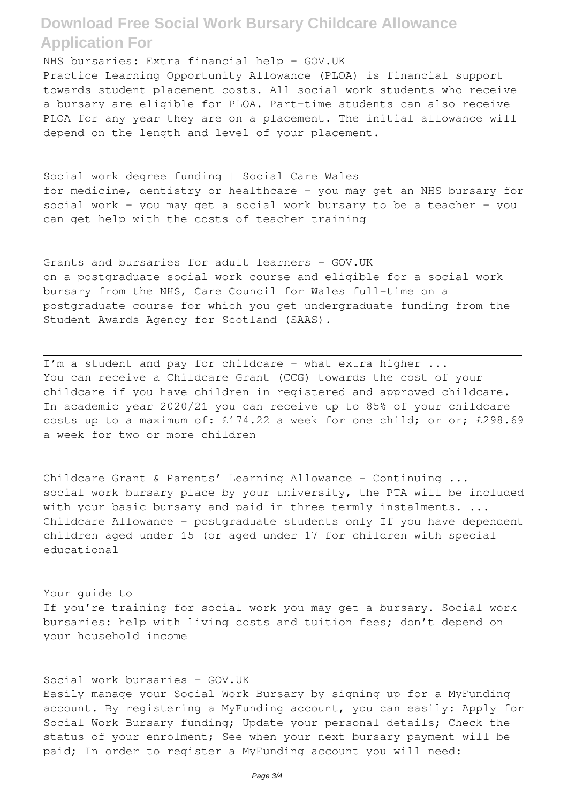NHS bursaries: Extra financial help - GOV.UK Practice Learning Opportunity Allowance (PLOA) is financial support towards student placement costs. All social work students who receive a bursary are eligible for PLOA. Part-time students can also receive PLOA for any year they are on a placement. The initial allowance will depend on the length and level of your placement.

Social work degree funding | Social Care Wales for medicine, dentistry or healthcare - you may get an NHS bursary for social work - you may get a social work bursary to be a teacher - you can get help with the costs of teacher training

Grants and bursaries for adult learners - GOV.UK on a postgraduate social work course and eligible for a social work bursary from the NHS, Care Council for Wales full-time on a postgraduate course for which you get undergraduate funding from the Student Awards Agency for Scotland (SAAS).

I'm a student and pay for childcare - what extra higher ... You can receive a Childcare Grant (CCG) towards the cost of your childcare if you have children in registered and approved childcare. In academic year 2020/21 you can receive up to 85% of your childcare costs up to a maximum of: £174.22 a week for one child; or or; £298.69 a week for two or more children

Childcare Grant & Parents' Learning Allowance - Continuing ... social work bursary place by your university, the PTA will be included with your basic bursary and paid in three termly instalments. ... Childcare Allowance - postgraduate students only If you have dependent children aged under 15 (or aged under 17 for children with special educational

Your guide to If you're training for social work you may get a bursary. Social work bursaries: help with living costs and tuition fees; don't depend on your household income

Social work bursaries - GOV.UK Easily manage your Social Work Bursary by signing up for a MyFunding account. By registering a MyFunding account, you can easily: Apply for Social Work Bursary funding; Update your personal details; Check the status of your enrolment; See when your next bursary payment will be paid; In order to register a MyFunding account you will need: